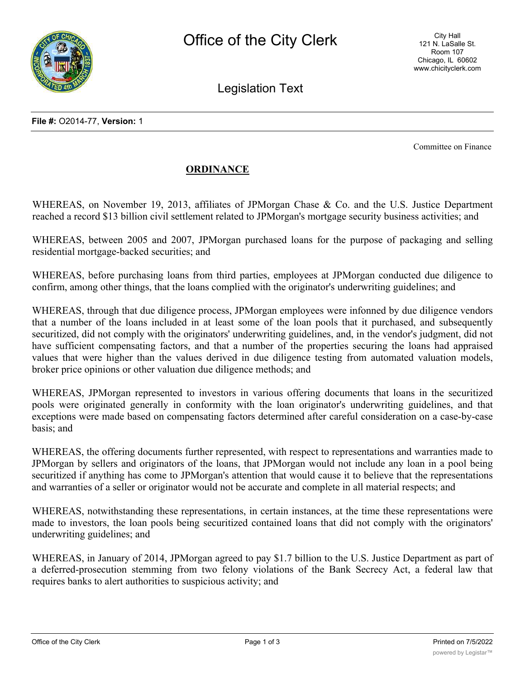

Legislation Text

Committee on Finance

## **ORDINANCE**

WHEREAS, on November 19, 2013, affiliates of JPMorgan Chase & Co. and the U.S. Justice Department reached a record \$13 billion civil settlement related to JPMorgan's mortgage security business activities; and

WHEREAS, between 2005 and 2007, JPMorgan purchased loans for the purpose of packaging and selling residential mortgage-backed securities; and

WHEREAS, before purchasing loans from third parties, employees at JPMorgan conducted due diligence to confirm, among other things, that the loans complied with the originator's underwriting guidelines; and

WHEREAS, through that due diligence process, JPMorgan employees were infonned by due diligence vendors that a number of the loans included in at least some of the loan pools that it purchased, and subsequently securitized, did not comply with the originators' underwriting guidelines, and, in the vendor's judgment, did not have sufficient compensating factors, and that a number of the properties securing the loans had appraised values that were higher than the values derived in due diligence testing from automated valuation models, broker price opinions or other valuation due diligence methods; and

WHEREAS, JPMorgan represented to investors in various offering documents that loans in the securitized pools were originated generally in conformity with the loan originator's underwriting guidelines, and that exceptions were made based on compensating factors determined after careful consideration on a case-by-case basis; and

WHEREAS, the offering documents further represented, with respect to representations and warranties made to JPMorgan by sellers and originators of the loans, that JPMorgan would not include any loan in a pool being securitized if anything has come to JPMorgan's attention that would cause it to believe that the representations and warranties of a seller or originator would not be accurate and complete in all material respects; and

WHEREAS, notwithstanding these representations, in certain instances, at the time these representations were made to investors, the loan pools being securitized contained loans that did not comply with the originators' underwriting guidelines; and

WHEREAS, in January of 2014, JPMorgan agreed to pay \$1.7 billion to the U.S. Justice Department as part of a deferred-prosecution stemming from two felony violations of the Bank Secrecy Act, a federal law that requires banks to alert authorities to suspicious activity; and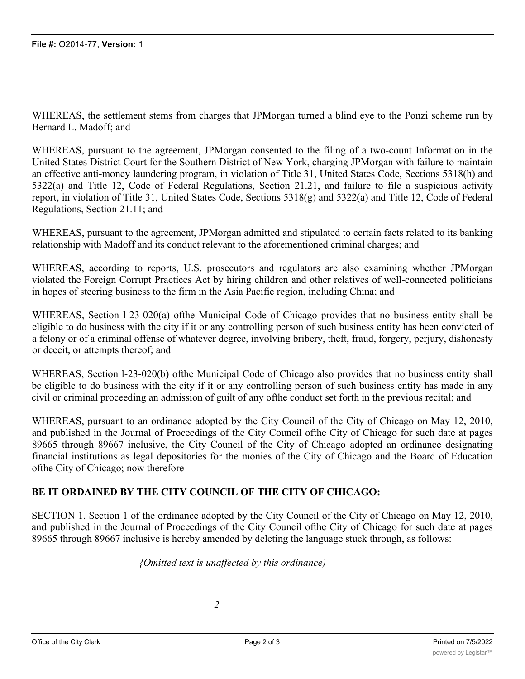WHEREAS, the settlement stems from charges that JPMorgan turned a blind eye to the Ponzi scheme run by Bernard L. Madoff; and

WHEREAS, pursuant to the agreement, JPMorgan consented to the filing of a two-count Information in the United States District Court for the Southern District of New York, charging JPMorgan with failure to maintain an effective anti-money laundering program, in violation of Title 31, United States Code, Sections 5318(h) and 5322(a) and Title 12, Code of Federal Regulations, Section 21.21, and failure to file a suspicious activity report, in violation of Title 31, United States Code, Sections 5318(g) and 5322(a) and Title 12, Code of Federal Regulations, Section 21.11; and

WHEREAS, pursuant to the agreement, JPMorgan admitted and stipulated to certain facts related to its banking relationship with Madoff and its conduct relevant to the aforementioned criminal charges; and

WHEREAS, according to reports, U.S. prosecutors and regulators are also examining whether JPMorgan violated the Foreign Corrupt Practices Act by hiring children and other relatives of well-connected politicians in hopes of steering business to the firm in the Asia Pacific region, including China; and

WHEREAS, Section l-23-020(a) ofthe Municipal Code of Chicago provides that no business entity shall be eligible to do business with the city if it or any controlling person of such business entity has been convicted of a felony or of a criminal offense of whatever degree, involving bribery, theft, fraud, forgery, perjury, dishonesty or deceit, or attempts thereof; and

WHEREAS, Section l-23-020(b) ofthe Municipal Code of Chicago also provides that no business entity shall be eligible to do business with the city if it or any controlling person of such business entity has made in any civil or criminal proceeding an admission of guilt of any ofthe conduct set forth in the previous recital; and

WHEREAS, pursuant to an ordinance adopted by the City Council of the City of Chicago on May 12, 2010, and published in the Journal of Proceedings of the City Council ofthe City of Chicago for such date at pages 89665 through 89667 inclusive, the City Council of the City of Chicago adopted an ordinance designating financial institutions as legal depositories for the monies of the City of Chicago and the Board of Education ofthe City of Chicago; now therefore

## **BE IT ORDAINED BY THE CITY COUNCIL OF THE CITY OF CHICAGO:**

SECTION 1. Section 1 of the ordinance adopted by the City Council of the City of Chicago on May 12, 2010, and published in the Journal of Proceedings of the City Council ofthe City of Chicago for such date at pages 89665 through 89667 inclusive is hereby amended by deleting the language stuck through, as follows:

*{Omitted text is unaffected by this ordinance)*